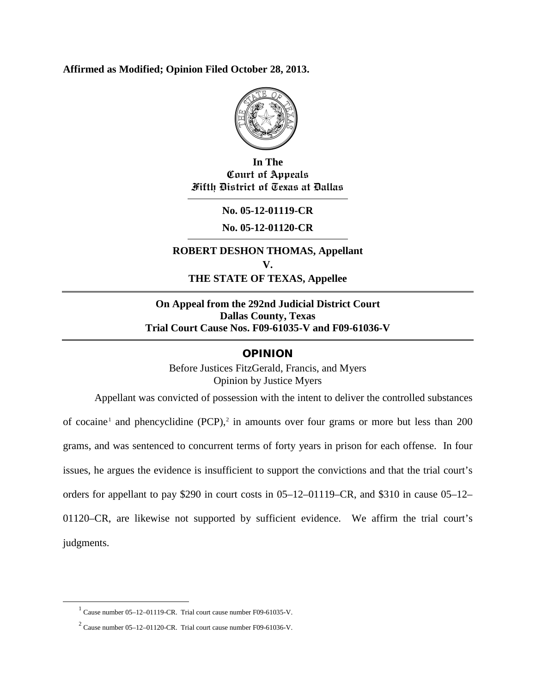#### **Affirmed as Modified; Opinion Filed October 28, 2013.**



**In The Court of Appeals Fifth District of Texas at Dallas**

**No. 05-12-01119-CR**

**No. 05-12-01120-CR**

**ROBERT DESHON THOMAS, Appellant V. THE STATE OF TEXAS, Appellee**

### **On Appeal from the 292nd Judicial District Court Dallas County, Texas Trial Court Cause Nos. F09-61035-V and F09-61036-V**

#### **OPINION**

Before Justices FitzGerald, Francis, and Myers Opinion by Justice Myers

Appellant was convicted of possession with the intent to deliver the controlled substances of cocaine<sup>[1](#page-0-0)</sup> and phencyclidine (PCP),<sup>[2](#page-0-1)</sup> in amounts over four grams or more but less than 200 grams, and was sentenced to concurrent terms of forty years in prison for each offense. In four issues, he argues the evidence is insufficient to support the convictions and that the trial court's orders for appellant to pay \$290 in court costs in 05–12–01119–CR, and \$310 in cause 05–12– 01120–CR, are likewise not supported by sufficient evidence. We affirm the trial court's judgments.

<span id="page-0-0"></span> $1$  Cause number 05–12–01119-CR. Trial court cause number F09-61035-V.

<span id="page-0-1"></span> $2$  Cause number 05–12–01120-CR. Trial court cause number F09-61036-V.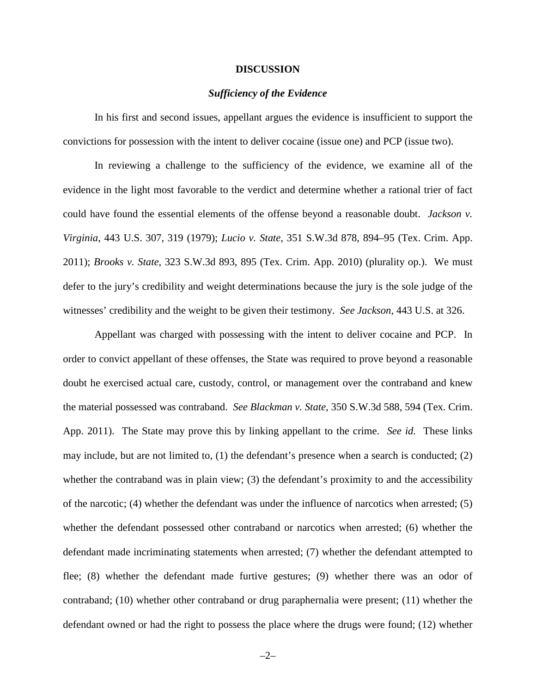#### **DISCUSSION**

#### *Sufficiency of the Evidence*

In his first and second issues, appellant argues the evidence is insufficient to support the convictions for possession with the intent to deliver cocaine (issue one) and PCP (issue two).

In reviewing a challenge to the sufficiency of the evidence, we examine all of the evidence in the light most favorable to the verdict and determine whether a rational trier of fact could have found the essential elements of the offense beyond a reasonable doubt. *Jackson v. Virginia*, 443 U.S. 307, 319 (1979); *Lucio v. State*, 351 S.W.3d 878, 894–95 (Tex. Crim. App. 2011); *Brooks v. State*, 323 S.W.3d 893, 895 (Tex. Crim. App. 2010) (plurality op.). We must defer to the jury's credibility and weight determinations because the jury is the sole judge of the witnesses' credibility and the weight to be given their testimony. *See Jackson*, 443 U.S. at 326.

Appellant was charged with possessing with the intent to deliver cocaine and PCP. In order to convict appellant of these offenses, the State was required to prove beyond a reasonable doubt he exercised actual care, custody, control, or management over the contraband and knew the material possessed was contraband. *See Blackman v. State*, 350 S.W.3d 588, 594 (Tex. Crim. App. 2011). The State may prove this by linking appellant to the crime. *See id.* These links may include, but are not limited to, (1) the defendant's presence when a search is conducted; (2) whether the contraband was in plain view; (3) the defendant's proximity to and the accessibility of the narcotic; (4) whether the defendant was under the influence of narcotics when arrested; (5) whether the defendant possessed other contraband or narcotics when arrested; (6) whether the defendant made incriminating statements when arrested; (7) whether the defendant attempted to flee; (8) whether the defendant made furtive gestures; (9) whether there was an odor of contraband; (10) whether other contraband or drug paraphernalia were present; (11) whether the defendant owned or had the right to possess the place where the drugs were found; (12) whether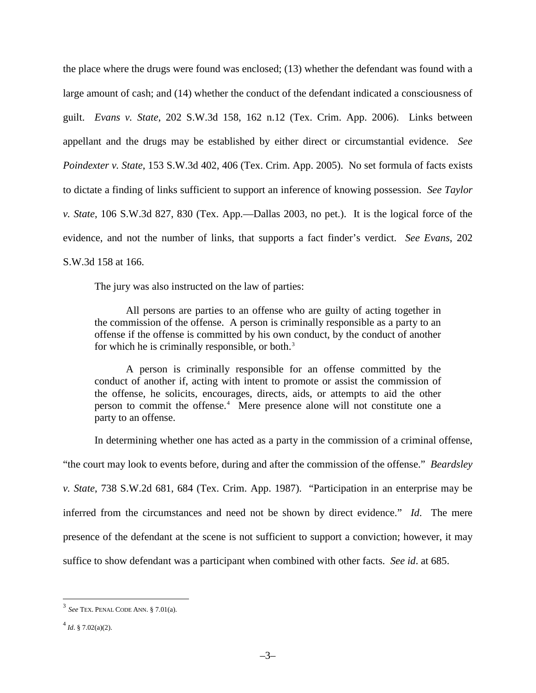the place where the drugs were found was enclosed; (13) whether the defendant was found with a large amount of cash; and (14) whether the conduct of the defendant indicated a consciousness of guilt. *Evans v. State*, 202 S.W.3d 158, 162 n.12 (Tex. Crim. App. 2006). Links between appellant and the drugs may be established by either direct or circumstantial evidence. *See Poindexter v. State*, 153 S.W.3d 402, 406 (Tex. Crim. App. 2005). No set formula of facts exists to dictate a finding of links sufficient to support an inference of knowing possession. *See Taylor v. State*, 106 S.W.3d 827, 830 (Tex. App.––Dallas 2003, no pet.). It is the logical force of the evidence, and not the number of links, that supports a fact finder's verdict. *See Evans*, 202 S.W.3d 158 at 166.

The jury was also instructed on the law of parties:

All persons are parties to an offense who are guilty of acting together in the commission of the offense. A person is criminally responsible as a party to an offense if the offense is committed by his own conduct, by the conduct of another for which he is criminally responsible, or both.<sup>[3](#page-2-0)</sup>

A person is criminally responsible for an offense committed by the conduct of another if, acting with intent to promote or assist the commission of the offense, he solicits, encourages, directs, aids, or attempts to aid the other person to commit the offense.<sup>[4](#page-2-1)</sup> Mere presence alone will not constitute one a party to an offense.

In determining whether one has acted as a party in the commission of a criminal offense,

"the court may look to events before, during and after the commission of the offense." *Beardsley* 

*v. State*, 738 S.W.2d 681, 684 (Tex. Crim. App. 1987). "Participation in an enterprise may be inferred from the circumstances and need not be shown by direct evidence." *Id*. The mere presence of the defendant at the scene is not sufficient to support a conviction; however, it may suffice to show defendant was a participant when combined with other facts. *See id*. at 685.

<span id="page-2-0"></span> <sup>3</sup> *See* TEX. PENAL CODE ANN. § 7.01(a).

<span id="page-2-1"></span> $^{4}$ *Id.* § 7.02(a)(2).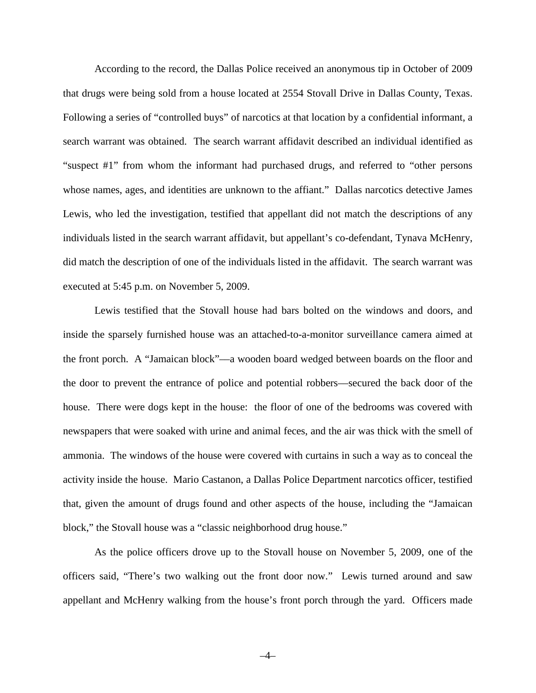According to the record, the Dallas Police received an anonymous tip in October of 2009 that drugs were being sold from a house located at 2554 Stovall Drive in Dallas County, Texas. Following a series of "controlled buys" of narcotics at that location by a confidential informant, a search warrant was obtained. The search warrant affidavit described an individual identified as "suspect #1" from whom the informant had purchased drugs, and referred to "other persons whose names, ages, and identities are unknown to the affiant." Dallas narcotics detective James Lewis, who led the investigation, testified that appellant did not match the descriptions of any individuals listed in the search warrant affidavit, but appellant's co-defendant, Tynava McHenry, did match the description of one of the individuals listed in the affidavit. The search warrant was executed at 5:45 p.m. on November 5, 2009.

Lewis testified that the Stovall house had bars bolted on the windows and doors, and inside the sparsely furnished house was an attached-to-a-monitor surveillance camera aimed at the front porch. A "Jamaican block"––a wooden board wedged between boards on the floor and the door to prevent the entrance of police and potential robbers––secured the back door of the house. There were dogs kept in the house: the floor of one of the bedrooms was covered with newspapers that were soaked with urine and animal feces, and the air was thick with the smell of ammonia. The windows of the house were covered with curtains in such a way as to conceal the activity inside the house. Mario Castanon, a Dallas Police Department narcotics officer, testified that, given the amount of drugs found and other aspects of the house, including the "Jamaican block," the Stovall house was a "classic neighborhood drug house."

As the police officers drove up to the Stovall house on November 5, 2009, one of the officers said, "There's two walking out the front door now." Lewis turned around and saw appellant and McHenry walking from the house's front porch through the yard. Officers made

–4–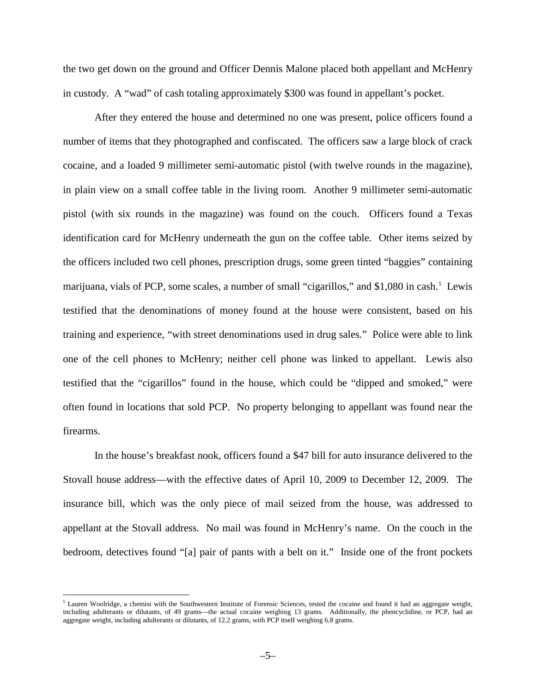the two get down on the ground and Officer Dennis Malone placed both appellant and McHenry in custody. A "wad" of cash totaling approximately \$300 was found in appellant's pocket.

After they entered the house and determined no one was present, police officers found a number of items that they photographed and confiscated. The officers saw a large block of crack cocaine, and a loaded 9 millimeter semi-automatic pistol (with twelve rounds in the magazine), in plain view on a small coffee table in the living room. Another 9 millimeter semi-automatic pistol (with six rounds in the magazine) was found on the couch. Officers found a Texas identification card for McHenry underneath the gun on the coffee table. Other items seized by the officers included two cell phones, prescription drugs, some green tinted "baggies" containing marijuana, vials of PCP, some scales, a number of small "cigarillos," and \$1,080 in cash.<sup>[5](#page-4-0)</sup> Lewis testified that the denominations of money found at the house were consistent, based on his training and experience, "with street denominations used in drug sales." Police were able to link one of the cell phones to McHenry; neither cell phone was linked to appellant. Lewis also testified that the "cigarillos" found in the house, which could be "dipped and smoked," were often found in locations that sold PCP. No property belonging to appellant was found near the firearms.

In the house's breakfast nook, officers found a \$47 bill for auto insurance delivered to the Stovall house address––with the effective dates of April 10, 2009 to December 12, 2009. The insurance bill, which was the only piece of mail seized from the house, was addressed to appellant at the Stovall address. No mail was found in McHenry's name. On the couch in the bedroom, detectives found "[a] pair of pants with a belt on it." Inside one of the front pockets

<span id="page-4-0"></span> $<sup>5</sup>$  Lauren Woolridge, a chemist with the Southwestern Institute of Forensic Sciences, tested the cocaine and found it had an aggregate weight,</sup> including adulterants or dilutants, of 49 grams––the actual cocaine weighing 13 grams. Additionally, the phencyclidine, or PCP, had an aggregate weight, including adulterants or dilutants, of 12.2 grams, with PCP itself weighing 6.8 grams.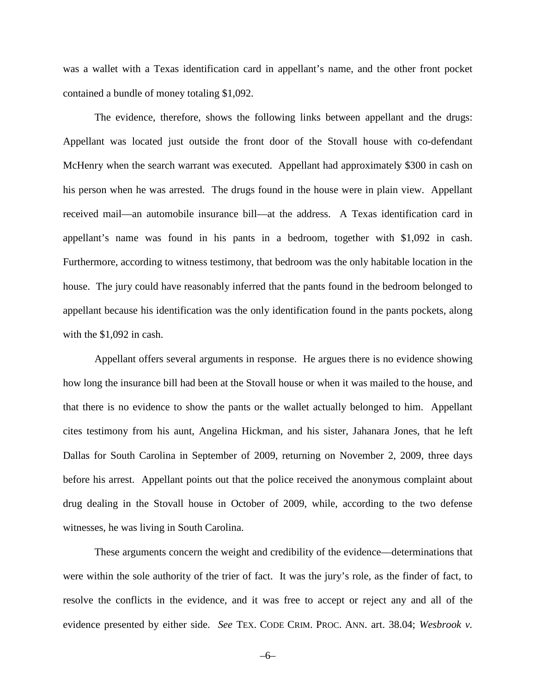was a wallet with a Texas identification card in appellant's name, and the other front pocket contained a bundle of money totaling \$1,092.

The evidence, therefore, shows the following links between appellant and the drugs: Appellant was located just outside the front door of the Stovall house with co-defendant McHenry when the search warrant was executed. Appellant had approximately \$300 in cash on his person when he was arrested. The drugs found in the house were in plain view. Appellant received mail––an automobile insurance bill––at the address. A Texas identification card in appellant's name was found in his pants in a bedroom, together with \$1,092 in cash. Furthermore, according to witness testimony, that bedroom was the only habitable location in the house. The jury could have reasonably inferred that the pants found in the bedroom belonged to appellant because his identification was the only identification found in the pants pockets, along with the \$1,092 in cash.

Appellant offers several arguments in response. He argues there is no evidence showing how long the insurance bill had been at the Stovall house or when it was mailed to the house, and that there is no evidence to show the pants or the wallet actually belonged to him. Appellant cites testimony from his aunt, Angelina Hickman, and his sister, Jahanara Jones, that he left Dallas for South Carolina in September of 2009, returning on November 2, 2009, three days before his arrest. Appellant points out that the police received the anonymous complaint about drug dealing in the Stovall house in October of 2009, while, according to the two defense witnesses, he was living in South Carolina.

These arguments concern the weight and credibility of the evidence––determinations that were within the sole authority of the trier of fact. It was the jury's role, as the finder of fact, to resolve the conflicts in the evidence, and it was free to accept or reject any and all of the evidence presented by either side. *See* TEX. CODE CRIM. PROC. ANN. art. 38.04; *Wesbrook v.* 

–6–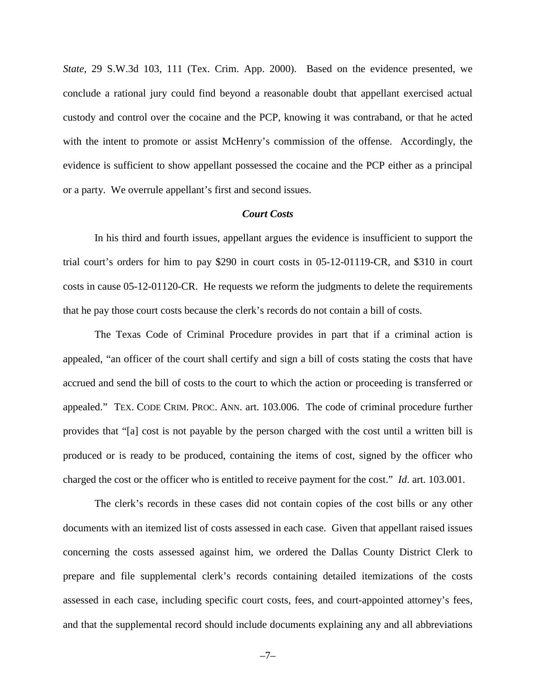*State*, 29 S.W.3d 103, 111 (Tex. Crim. App. 2000). Based on the evidence presented, we conclude a rational jury could find beyond a reasonable doubt that appellant exercised actual custody and control over the cocaine and the PCP, knowing it was contraband, or that he acted with the intent to promote or assist McHenry's commission of the offense. Accordingly, the evidence is sufficient to show appellant possessed the cocaine and the PCP either as a principal or a party. We overrule appellant's first and second issues.

#### *Court Costs*

In his third and fourth issues, appellant argues the evidence is insufficient to support the trial court's orders for him to pay \$290 in court costs in 05-12-01119-CR, and \$310 in court costs in cause 05-12-01120-CR. He requests we reform the judgments to delete the requirements that he pay those court costs because the clerk's records do not contain a bill of costs.

The Texas Code of Criminal Procedure provides in part that if a criminal action is appealed, "an officer of the court shall certify and sign a bill of costs stating the costs that have accrued and send the bill of costs to the court to which the action or proceeding is transferred or appealed." TEX. CODE CRIM. PROC. ANN. art. 103.006. The code of criminal procedure further provides that "[a] cost is not payable by the person charged with the cost until a written bill is produced or is ready to be produced, containing the items of cost, signed by the officer who charged the cost or the officer who is entitled to receive payment for the cost." *Id*. art. 103.001.

The clerk's records in these cases did not contain copies of the cost bills or any other documents with an itemized list of costs assessed in each case. Given that appellant raised issues concerning the costs assessed against him, we ordered the Dallas County District Clerk to prepare and file supplemental clerk's records containing detailed itemizations of the costs assessed in each case, including specific court costs, fees, and court-appointed attorney's fees, and that the supplemental record should include documents explaining any and all abbreviations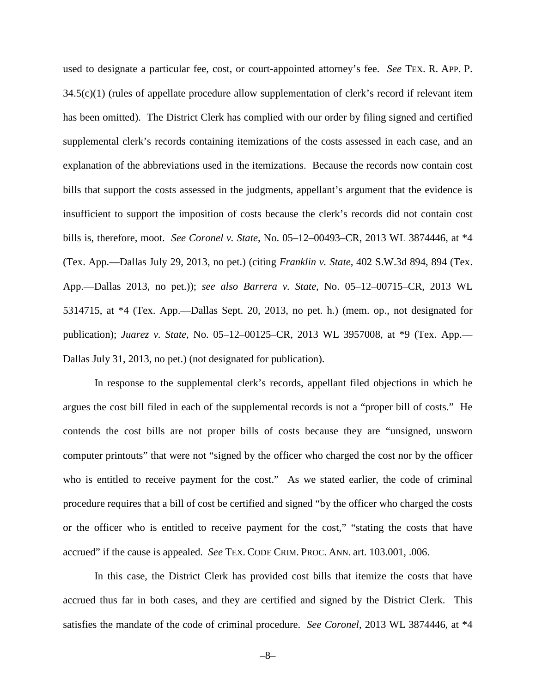used to designate a particular fee, cost, or court-appointed attorney's fee. *See* TEX. R. APP. P. 34.5(c)(1) (rules of appellate procedure allow supplementation of clerk's record if relevant item has been omitted). The District Clerk has complied with our order by filing signed and certified supplemental clerk's records containing itemizations of the costs assessed in each case, and an explanation of the abbreviations used in the itemizations. Because the records now contain cost bills that support the costs assessed in the judgments, appellant's argument that the evidence is insufficient to support the imposition of costs because the clerk's records did not contain cost bills is, therefore, moot. *See Coronel v. State*, No. 05–12–00493–CR, 2013 WL 3874446, at \*4 (Tex. App.––Dallas July 29, 2013, no pet.) (citing *Franklin v. State*, 402 S.W.3d 894, 894 (Tex. App.––Dallas 2013, no pet.)); *see also Barrera v. State*, No. 05–12–00715–CR, 2013 WL 5314715, at \*4 (Tex. App.––Dallas Sept. 20, 2013, no pet. h.) (mem. op., not designated for publication); *Juarez v. State*, No. 05–12–00125–CR, 2013 WL 3957008, at \*9 (Tex. App.–– Dallas July 31, 2013, no pet.) (not designated for publication).

In response to the supplemental clerk's records, appellant filed objections in which he argues the cost bill filed in each of the supplemental records is not a "proper bill of costs." He contends the cost bills are not proper bills of costs because they are "unsigned, unsworn computer printouts" that were not "signed by the officer who charged the cost nor by the officer who is entitled to receive payment for the cost." As we stated earlier, the code of criminal procedure requires that a bill of cost be certified and signed "by the officer who charged the costs or the officer who is entitled to receive payment for the cost," "stating the costs that have accrued" if the cause is appealed. *See* TEX. CODE CRIM. PROC. ANN. art. 103.001, .006.

In this case, the District Clerk has provided cost bills that itemize the costs that have accrued thus far in both cases, and they are certified and signed by the District Clerk. This satisfies the mandate of the code of criminal procedure. *See Coronel*, 2013 WL 3874446, at \*4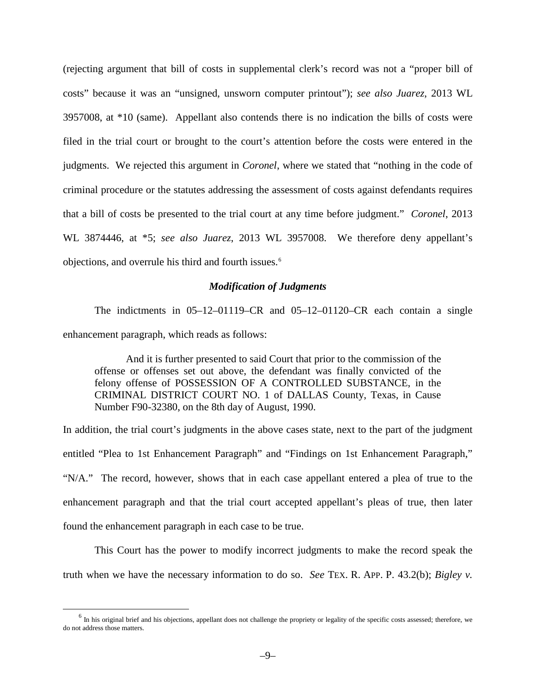(rejecting argument that bill of costs in supplemental clerk's record was not a "proper bill of costs" because it was an "unsigned, unsworn computer printout"); *see also Juarez*, 2013 WL 3957008, at \*10 (same). Appellant also contends there is no indication the bills of costs were filed in the trial court or brought to the court's attention before the costs were entered in the judgments. We rejected this argument in *Coronel*, where we stated that "nothing in the code of criminal procedure or the statutes addressing the assessment of costs against defendants requires that a bill of costs be presented to the trial court at any time before judgment." *Coronel*, 2013 WL 3874446, at \*5; *see also Juarez*, 2013 WL 3957008. We therefore deny appellant's objections, and overrule his third and fourth issues. [6](#page-8-0)

#### *Modification of Judgments*

The indictments in 05–12–01119–CR and 05–12–01120–CR each contain a single enhancement paragraph, which reads as follows:

And it is further presented to said Court that prior to the commission of the offense or offenses set out above, the defendant was finally convicted of the felony offense of POSSESSION OF A CONTROLLED SUBSTANCE, in the CRIMINAL DISTRICT COURT NO. 1 of DALLAS County, Texas, in Cause Number F90-32380, on the 8th day of August, 1990.

In addition, the trial court's judgments in the above cases state, next to the part of the judgment entitled "Plea to 1st Enhancement Paragraph" and "Findings on 1st Enhancement Paragraph," "N/A." The record, however, shows that in each case appellant entered a plea of true to the enhancement paragraph and that the trial court accepted appellant's pleas of true, then later found the enhancement paragraph in each case to be true.

This Court has the power to modify incorrect judgments to make the record speak the truth when we have the necessary information to do so. *See* TEX. R. APP. P. 43.2(b); *Bigley v.* 

<span id="page-8-0"></span> $<sup>6</sup>$  In his original brief and his objections, appellant does not challenge the propriety or legality of the specific costs assessed; therefore, we</sup> do not address those matters.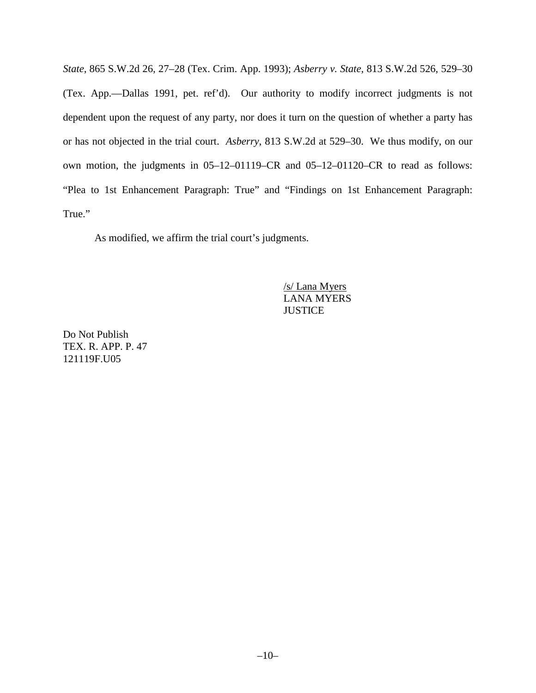*State*, 865 S.W.2d 26, 27–28 (Tex. Crim. App. 1993); *Asberry v. State*, 813 S.W.2d 526, 529–30 (Tex. App.––Dallas 1991, pet. ref'd). Our authority to modify incorrect judgments is not dependent upon the request of any party, nor does it turn on the question of whether a party has or has not objected in the trial court. *Asberry*, 813 S.W.2d at 529–30. We thus modify, on our own motion, the judgments in 05–12–01119–CR and 05–12–01120–CR to read as follows: "Plea to 1st Enhancement Paragraph: True" and "Findings on 1st Enhancement Paragraph: True."

As modified, we affirm the trial court's judgments.

/s/ Lana Myers LANA MYERS **JUSTICE** 

Do Not Publish TEX. R. APP. P. 47 121119F.U05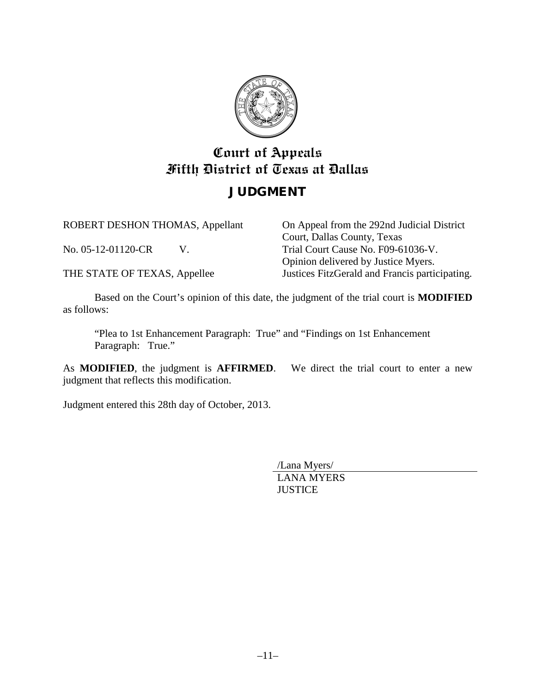

# **Court of Appeals Fifth District of Texas at Dallas**

### JUDGMENT

ROBERT DESHON THOMAS, Appellant

No. 05-12-01120-CR V.

THE STATE OF TEXAS, Appellee

On Appeal from the 292nd Judicial District Court, Dallas County, Texas Trial Court Cause No. F09-61036-V. Opinion delivered by Justice Myers. Justices FitzGerald and Francis participating.

Based on the Court's opinion of this date, the judgment of the trial court is **MODIFIED** as follows:

"Plea to 1st Enhancement Paragraph: True" and "Findings on 1st Enhancement Paragraph: True."

As **MODIFIED**, the judgment is **AFFIRMED**. We direct the trial court to enter a new judgment that reflects this modification.

Judgment entered this 28th day of October, 2013.

/Lana Myers/ LANA MYERS **JUSTICE**